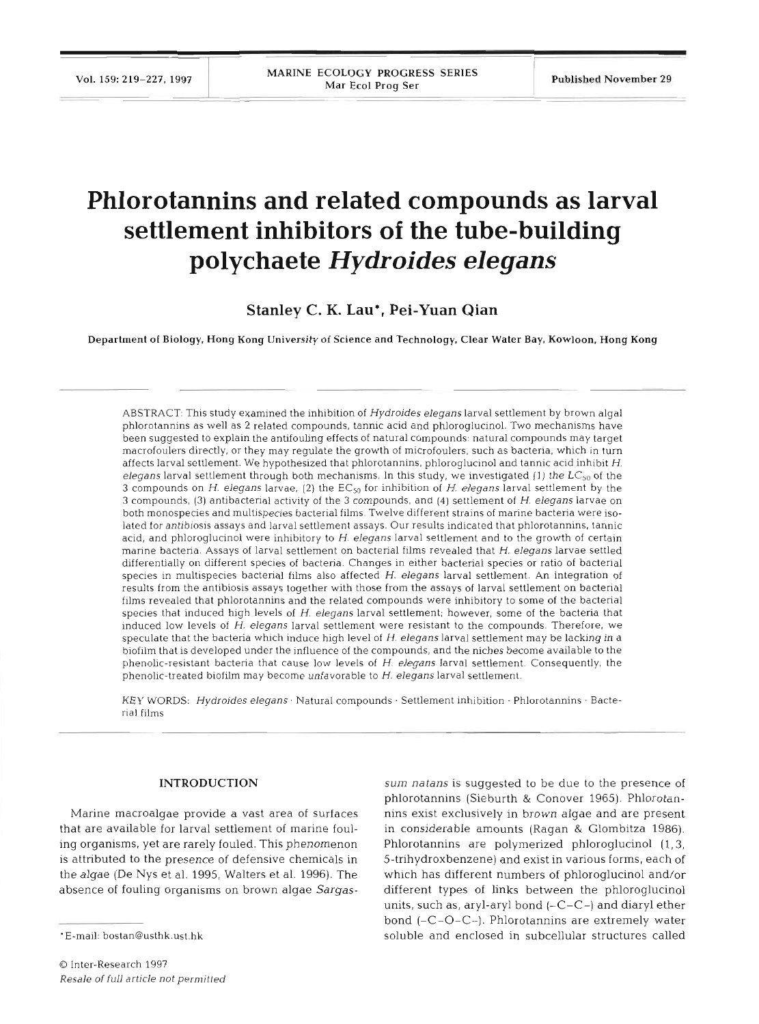# **Phlorotannins and related compounds as larval settlement inhibitors of the tube-building polychaete Hydroides** *elegans*

**Stanley C. K. Lau\*, Pei-Yuan Qian** 

Department of Biology, Hong Kong University of Science and Technology. Clear Water Bay, Kowloon, Hong Kong

ABSTRACT: This study examined the inhibition of Hydroides elegans larval settlement by brown algal phlorotannins as well as 2 related compounds, tannic acid and phloroglucinol. Two mechanisms have been suggested to explain the antifouling effects of natural compounds: natural compounds may target macrofoulers directly, or they may regulate the growth of microfoulers, such as bacteria, which in turn affects larval settlement. We hypothesized that phlorotannins, phloroglucinol and tannic acid inhibit H. elegans larval settlement through both mechanisms. In this study, we investigated (1) the  $LC_{50}$  of the **3** compounds on H. elegans larvae, (2) the  $EC_{50}$  for inhibition of H. elegans larval settlement by the **3** compounds, **(3)** antibacterial activity of the **3** compounds, and (4) settlement of H. elegans larvae on both monospecies and multispecies bacterial films. Twelve different strains of marine bacteria were isolated for antibiosis assays and larval settlement assays. Our results indicated that phlorotannins, tannic acid, and phloroglucinol were inhibitory to H. elegans larval settlement and to the growth of certain marine bacteria. Assays of larval settlement on bacterial films revealed that H. elegans larvae settled differentially on different species of bacteria. Changes in either bacterial species or ratio of bacterial species in multispecies bacterial films also affected H. elegans larval settlement. An integration of results from the antibiosis assays together with those from the assays of larval settlement on bacterial films revealed that phlorotannins and the related compounds were inhibitory to some of the bacterial species that induced high levels of H. elegans larval settlement; however, some of the bacteria that induced low levels of H. elegans larval settlement were resistant to the compounds. Therefore, we speculate that the bacteria which induce high level of H. elegans larval settlement may be lacking in a biofilm that is developed under the influence of the compounds, and the niches become available to the phenolic-resistant bacteria that cause low levels of H. elegans larval settlement. Consequently, the phenolic-treated biofilm may become unfavorable to  $H$ . elegans larval settlement.

KEY WORDS: Hydroides elegans · Natural compounds · Settlement inhibition · Phlorotannins · Bacterial films

## INTRODUCTION

Marine macroalgae provide a vast area of surfaces that are available for larval settlement of marine fouling organisms, yet are rarely fouled. This phenomenon is attributed to the presence of defensive chemicals in the algae (De Nys et al. 1995, Walters et al. 1996). The absence of fouling organisms on brown algae Sargas-

sum natans is suggested to be due to the presence of<br>phlorotannins (Sieburth & Conover 1965). Phlorotan-<br>nins exist exclusively in brown algae and are present<br>in considerable amounts (Ragan & Glombitza 1986).<br>Phlorotannin units, such as, aryl-aryl bond  $(-C-C-)$  and diaryl ether bond *(-C-0-C-).* Phlorotannins are extremely water soluble and enclosed in subcellular structures called

<sup>\*</sup>E-mail: bostan@usthk.ust.hk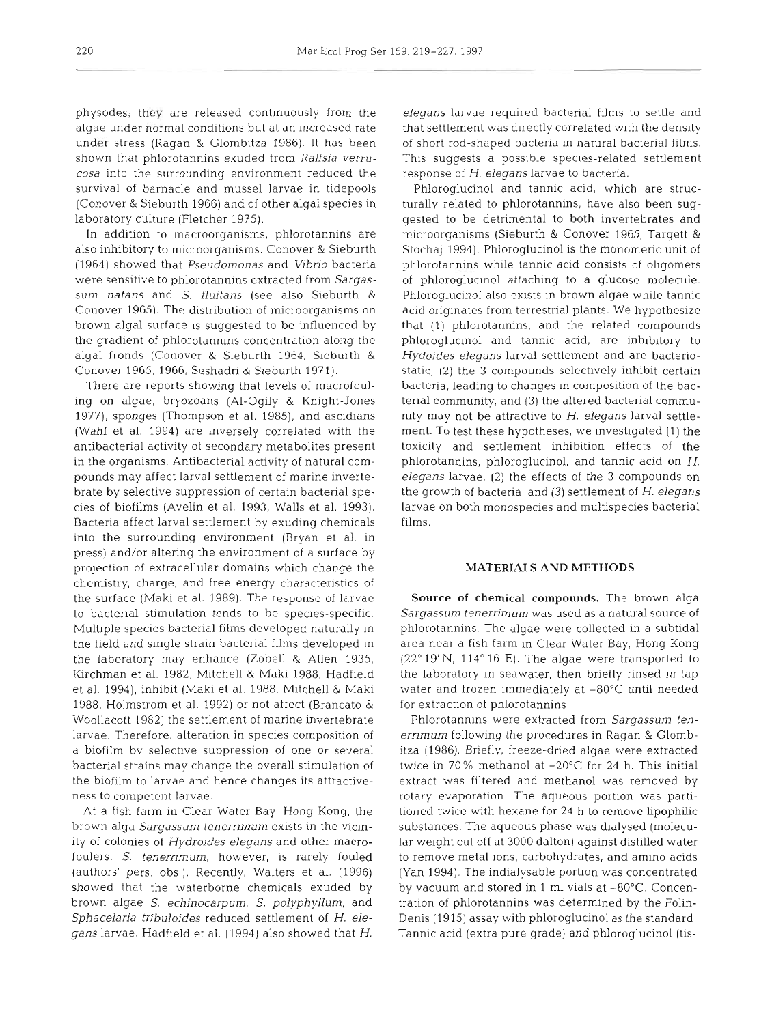physodes; they are released continuously from the algae under normal conditions but at an increased rate under stress (Ragan & Glombitza 1986) It has been shown that phlorotannins exuded from *Ralfsia verrucosa* into the surrounding environment reduced the survival of barnacle and mussel larvae in tidepools (Conover & Sieburth 1966) and of other algal species in laboratory culture (Fletcher 1975).

In addition to macroorganisms, phlorotannins are also inhibitory to microorganisms. Conover & Sieburth (1964) showed that *Pseudomonas* and *Vibrio* bacteria were sensitive to phlorotannins extracted from *Sargassum natans* and *S. fluitans* (see also Sieburth & Conover 1965). The distribution of microorganisms on brown algal surface is suggested to be influenced by the gradient of phlorotannins concentration along the algal fronds (Conover & Sieburth 1964, Sieburth & Conover 1965, 1966, Seshadri & Sieburth 1971),

There are reports showing that levels of macrofouling on algae, bryozoans (Al-Ogily & Knight-Jones 1977), sponges (Thompson et al. 1985), and ascidians (Wahl et al. 1994) are inversely correlated with the antibacterial activity of secondary metabolites present in the organisms. Antibacterial activity of natural compounds may affect larval settlement of marine invertebrate by selective suppression of certain bacterial species of biofilms (Avelin et al. 1993, Walls et al. 1993). Bacteria affect larval settlement by exuding chemicals into the surrounding environment [Bryan et al. in press) and/or altering the environment of a surface by projection of extracellular domains which change the chemistry, charge, and free energy characteristics of the surface (Maki et al. 1989). The response of larvae to bacterial stimulation tends to be species-specific. Multiple species bacterial films developed naturally in the field and single strain bacterial films developed in the laboratory may enhance (Zobell & Allen 1935, Kirchman et al. 1982, Mitchell & Maki 1988, Hadfield et al. 1994), inhibit (Maki et al. 1988, Mitchell & Maki 1988, Holmstrom et al. 1992) or not affect (Brancato & Woollacott 1982) the settlement of marine invertebrate larvae. Therefore, alteration in species composition of a biofilm by selective suppression of one or several bacterial strains may change the overall stimulation of the biofilm to larvae and hence changes its attractiveness to competent larvae.

At a fish farm in Clear Water Bay, Hong Kong, the brown alga *Sargassum tenerrimum* exists in the vicinity of colonies of *Hydroides elegans* and other macrofoulers. S. *tenerrimum,* however, is rarely fouled (authors' pers. obs.). Recently, Walters et al. (1996) showed that the waterborne chemicals exuded by brown algae *S. echinocarpum, S. polyphyllum,* and *Sphacelaria tribuloides* reduced settlement of H. *elegans* larvae. Hadfield et al. (1994) also showed that H.

*elegans* larvae required bacterial films to settle and that settlement was directly correlated with the density of short rod-shaped bacteria in natural bacterial films. This suggests a possible species-related settlement response of H. *elegans* larvae to bacteria.

Phloroglucinol and tannic acid, which are structurally related to phlorotannins, have also been suggested to be detrimental to both invertebrates and microorganisms (Sieburth & Conover 1965, Targett & Stochaj 1994). Phloroglucinol is the monomeric unit of phlorotannins while tannic acid consists of oligomers of phloroglucinol attaching to a glucose molecule. Phloroglucinol also exists in brown algae while tannic acid originates from terrestrial plants. We hypothesize that (1) phlorotannins, and the related compounds phloroglucinol and tannic acid, are inhibitory to *Hydoides elegans* larval settlement and are bacteriostatic, (2) the 3 compounds selectively inhibit certain bacteria, leading to changes in composition of the bacterial community, and **(3)** the altered bacterial community may not be attractive to H. *elegans* larval settlement. To test these hypotheses, we investigated (1) the toxicity and settlement inhibition effects of the phlorotannins, phloroglucinol, and tannic acid on H. *elegans* larvae, (2) the effects of the 3 compounds on the growth of bacteria, and (3) settlement of *H. elegans*  larvae on both monospecies and multispecies bacterial films.

## **MATERIALS AND METHODS**

Source of **chemical** compounds. The brown alga *Sargassum tenerrimum* was used as a natural source of phlorotannins. The algae were collected in a subtidal area near a fish farm in Clear Water Bay, Hong Kong  $(22°19' N, 114°16' E)$ . The algae were transported to the laboratory in seawater, then briefly rinsed in tap water and frozen immediately at  $-80^{\circ}$ C until needed for extraction of phlorotannins.

Phlorotannins were extracted from *Sargassum tenerrimum* following the procedures in Ragan & Glombitza (1986), Briefly, freeze-dried algae were extracted twice in 70% methanol at  $-20^{\circ}$ C for 24 h. This initial extract was filtered and methanol was removed by rotary evaporation. The aqueous portion was partitioned twice with hexane for 24 h to remove lipophilic substances. The aqueous phase was dialysed (molecular weight cut off at 3000 dalton) against distilled water to remove metal ions, carbohydrates, and amino acids (Yan 1994), The indialysable portion was concentrated by vacuum and stored in 1 ml vials at -80°C. Concentration of phlorotannins was determined by the Folin-Denis (1915) assay with phloroglucinol as the standard. Tannic acid (extra pure grade) and phloroglucinol (tis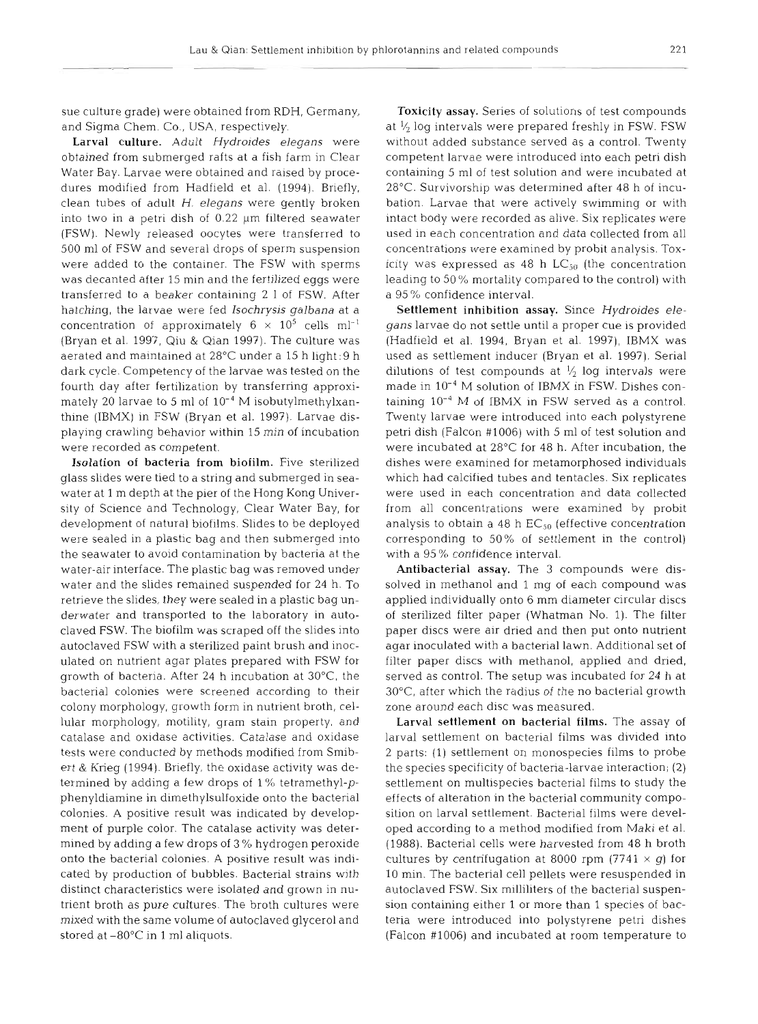sue culture grade) were obtained from RDH, Germany, and Sigma Chem. Co., USA, respectively.

Larval culture. Adult *Hydroides elegans* were obtained from submerged rafts at a fish farm in Clear Water Bay. Larvae were obtained and raised by procedures modified from Hadfield et al. (1994). Briefly. clean tubes of adult H. *elegans* were gently broken into two in a petri dish of  $0.22 \mu m$  filtered seawater (FSW). Newly released oocytes were transferred to 500 m1 of FSW and several drops of sperm suspension were added to the container. The FSW with sperms was decanted after 15 min and the fertilized eggs were transferred to a beaker containing 2 1 of FSW. After hatching, the larvae were fed *Isochrysis galbana* at a concentration of approximately  $6 \times 10^5$  cells ml<sup>-1</sup> (Bryan et al. 1997, Qiu & Qian 1997). The culture was aerated and maintained at 28°C under a 15 h light: 9 h dark cycle. Competency of the larvae was tested on the fourth day after fertilization by transferring approximately 20 larvae to 5 ml of  $10^{-4}$  M isobutylmethylxanthine (IBMX) in FSW (Bryan et al. 1997). Larvae displaying crawling behavior within 15 min of incubation were recorded as competent.

Isolation of bacteria from biofilm. Five sterilized glass slides were tied to a string and submerged in seawater at 1 m depth at the pier of the Hong Kong University of Science and Technology, Clear Water Bay, for development of natural biofilms. Slides to be deployed were sealed in a plastic bag and then submerged into the seawater to avoid contamination by bacteria at the water-air interface. The plastic bag was removed under water and the slides remained suspended for 24 h. To retrieve the slides, they were sealed in a plastic bag underwater and transported to the laboratory in autoclaved FSW. The biofilm was scraped off the slides into autoclaved FSW with a sterilized paint brush and inoculated on nutrient agar plates prepared with FSW for growth of bacteria. After 24 h incubation at 30°C, the bacterial colonies were screened according to their colony morphology, growth form in nutrient broth, cellular morphology, motility, gram stain property, and catalase and oxidase activities. Catalase and oxidase tests were conducted by methods modified from Smibert & Krieg (1994). Briefly, the oxidase activity was determined by adding a few drops of  $1\%$  tetramethyl- $p$ phenyldiamine in dimethylsulfoxide onto the bacterial colonies. A positive result was indicated by development of purple color. The catalase activity was determined by adding a few drops of 3 % hydrogen peroxide onto the bacterial colonies. A positive result was indlcated by production of bubbles. Bacterial strains with distinct characteristics were isolated and grown in nutrient broth as pure cultures. The broth cultures were mixed with the same volume of autoclaved glycerol and stored at -80°C in 1 m1 aliquots.

Toxicity assay. Series of solutions of test compounds at **l/,** log intervals were prepared freshly in FSW. FSW without added substance served as a control. Twenty competent larvae were introduced into each petri dish containing 5 m1 of test solution and were incubated at 28°C. Survivorship was determined after 48 h of incubation. Larvae that were actively swimming or with intact body were recorded as alive. Six replicates were used in each concentration and data collected from all concentrations were examined by probit analysis. Toxicity was expressed as 48 h  $LC_{50}$  (the concentration leading to 50% mortality compared to the control) with a 95 % confidence interval.

Settlement inhibition assay. Since Hydroides ele*gans* larvae do not settle until a proper cue is provided (Hadfield et al. 1994, Bryan et al. 1997), IBMX was 'used as settlement inducer (Bryan et al. 1997). Serial dilutions of test compounds at  $\frac{1}{2}$  log intervals were made in 10-4 M solution of IBMX in FSW. Dishes containing  $10^{-4}$  M of IBMX in FSW served as a control. Twenty larvae were introduced into each polystyrene petri dish (Falcon #1006) with 5 m1 of test solution and were incubated at  $28^{\circ}$ C for 48 h. After incubation, the dishes were examined for metamorphosed individuals which had calcified tubes and tentacles. Six replicates were used in each concentration and data collected from all concentrations were examined by probit analysis to obtain a 48 h  $EC_{50}$  (effective concentration corresponding to 50% of settlement in the control) with a 95 % confidence interval.

Antibacterial assay. The 3 compounds were dissolved in methanol and 1 mg of each compound was applied individually onto 6 mm diameter circular discs of sterilized filter paper (Whatman No. 1). The filter paper discs were air dried and then put onto nutrient agar inoculated with a bacterial lawn. Additional set of filter paper discs with methanol, applied and dried, served as control. The setup was incubated for 24 h at 30°C, after which the radius of the no bacterial growth zone around each disc was measured.

Larval settlement on bacterial films. The assay of larval settlement on bacterial films was divided into 2 parts: (1) settlement on monospecies films to probe the species specificity of bacteria-larvae interaction; (2) settlement on multispecies bacterial films to study the effects of alteration in the bacterial community composition on larval settlement. Bacterial films were developed according to a method modified from Maki et al. (1988). Bacterial cells were harvested from 48 h broth cultures by centrifugation at 8000 rpm (7741  $\times$  *g*) for 10 min. The bacterial cell pellets were resuspended in autoclaved FSW. Six milliliters of the bacterial suspension containing either 1 or more than 1 species of bacteria were introduced into polystyrene petri dishes (Falcon #1006) and incubated at room temperature to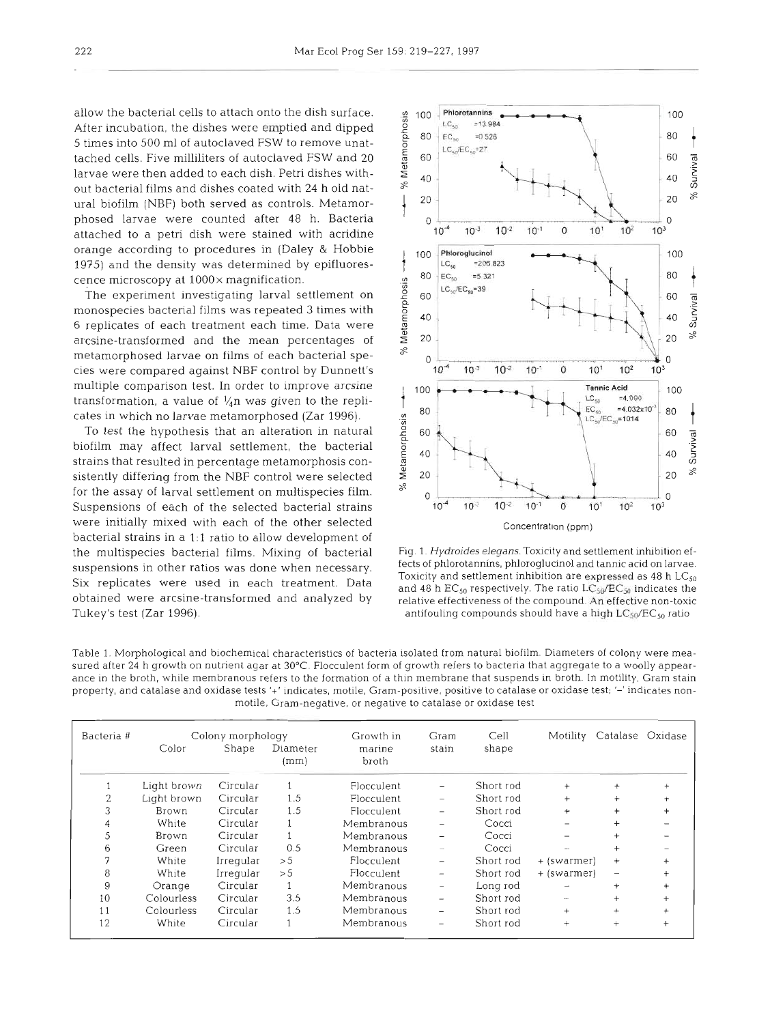allow the bacterial cells to attach onto the dish surface. After incubation, the dishes were emptied and dipped 5 times into 500 m1 of autoclaved FSW to remove unattached cells. Five milliliters of autoclaved FSW and 20 larvae were then added to each dish. Petri dishes without bacterial films and dishes coated with 24 h old natural biofilm (NBF) both served as controls. Metamorphosed larvae were counted after 48 h. Bacteria attached to a petri dish were stained with acridine orange according to procedures in (Daley & Hobbie 1975) and the density was determined by epifluorescence microscopy at 1000x magnification.

The experiment investigating larval settlement on monospecies bacterial films was repeated **3** times with 6 replicates of each treatment each time. Data were arcsine-transformed and the mean percentages of metamorphosed larvae on films of each bacterial species were compared against NBF control by Dunnett's multiple comparison test. In order to improve arcsine transformation, a value of  $\frac{1}{4}$ n was given to the replicates in which no larvae metamorphosed (Zar 1996).

To test the hypothesis that an alteration in natural biofilm may affect larval settlement, the bacterial strains that resulted in percentage metamorphosis consistently differing from the NBF control were selected for the assay of larval settlement on multispecies film. Suspensions of each of the selected bacterial strains were initially mixed with each of the other selected bacterial strains in a **1:l** ratio to allow development of the multispecies bacterial films. Mixing of bacterial suspensions in other ratios was done when necessary. Six replicates were used in each treatment. Data obtained were arcsine-transformed and analyzed by Tukey's test (Zar 1996).



Fig. l. Hydroides elegans. Toxicity and settlement inhibition effects of phlorotannins, phloroglucinol and tannic acid on larvae. Toxicity and settlement inhibition are expressed as  $48$  h LC<sub>50</sub> and 48 h  $EC_{50}$  respectively. The ratio  $LC_{50}/EC_{50}$  indicates the relative effectiveness of the compound. **An** effective non-toxic antifouling compounds should have a high  $LC_{50}/EC_{50}$  ratio

Table 1. Morphological and biochemical characteristics of bacteria isolated from natural biofilm. Diameters of colony were measured after 24 h growth on nutrient agar at 30°C. Flocculent form of growth refers to bacteria that aggregate to a woolly appearance in the broth, while membranous refers to the formation of a thin membrane that suspends in broth. In motility, Gram stain property, and catalase and oxidase tests '+' indicates, motile, Gram-positive, positive to catalase or oxidase test; '-' indicates nonmotile, Gram-negative, or negative to catalase or oxidase test

| Bacteria # | Colony morphology |           |                      | Growth in       | Gram                     | Cell      |                          | Motility Catalase Oxidase |           |
|------------|-------------------|-----------|----------------------|-----------------|--------------------------|-----------|--------------------------|---------------------------|-----------|
|            | Color             | Shape     | Diameter<br>$\{mm\}$ | marine<br>broth | stain                    | shape     |                          |                           |           |
|            | Light brown       | Circular  |                      | Flocculent      | $\qquad \qquad -$        | Short rod | $^{+}$                   | $\ddot{}$                 | $\ddot{}$ |
| 2          | Light brown       | Circular  | 1.5                  | Flocculent      | $\qquad \qquad$          | Short rod | $^{+}$                   | $\ddot{}$                 | $^{+}$    |
| 3          | Brown             | Circular  | 1.5                  | Flocculent      | $\overline{\phantom{0}}$ | Short rod | $\ddot{}$                | $\ddot{}$                 | $\ddot{}$ |
| 4          | White             | Circular  |                      | Membranous      | $\qquad \qquad$          | Cocci     | $\qquad \qquad -$        | $^{+}$                    |           |
| 5          | Brown             | Circular  |                      | Membranous      | $\overline{\phantom{0}}$ | Cocci     |                          | $^{+}$                    |           |
| 6          | Green             | Circular  | 0.5                  | Membranous      | $\overline{\phantom{a}}$ | Cocci     | ÷                        | $\ddot{}$                 |           |
| 7          | White             | Irregular | > 5                  | Flocculent      | -                        | Short rod | + (swarmer)              | $^{+}$                    |           |
| 8          | White             | Irregular | > 5                  | Flocculent      | -                        | Short rod | + (swarmer)              | $\overline{\phantom{0}}$  | $\ddot{}$ |
| 9          | Orange            | Circular  |                      | Membranous      | $\qquad \qquad -$        | Long rod  | $\overline{\phantom{a}}$ | $\ddot{}$                 | $^{+}$    |
| 10         | Colourless        | Circular  | 3.5                  | Membranous      | $\overline{\phantom{0}}$ | Short rod | $\overline{\phantom{a}}$ | $\ddot{}$                 | $\ddot{}$ |
| 11         | Colourless        | Circular  | 1.5                  | Membranous      | -                        | Short rod | $^{+}$                   | $^{+}$                    | $^{+}$    |
| 12         | White             | Circular  |                      | Membranous      | $\overline{\phantom{0}}$ | Short rod | $^{+}$                   | $^{+}$                    | $\ddot{}$ |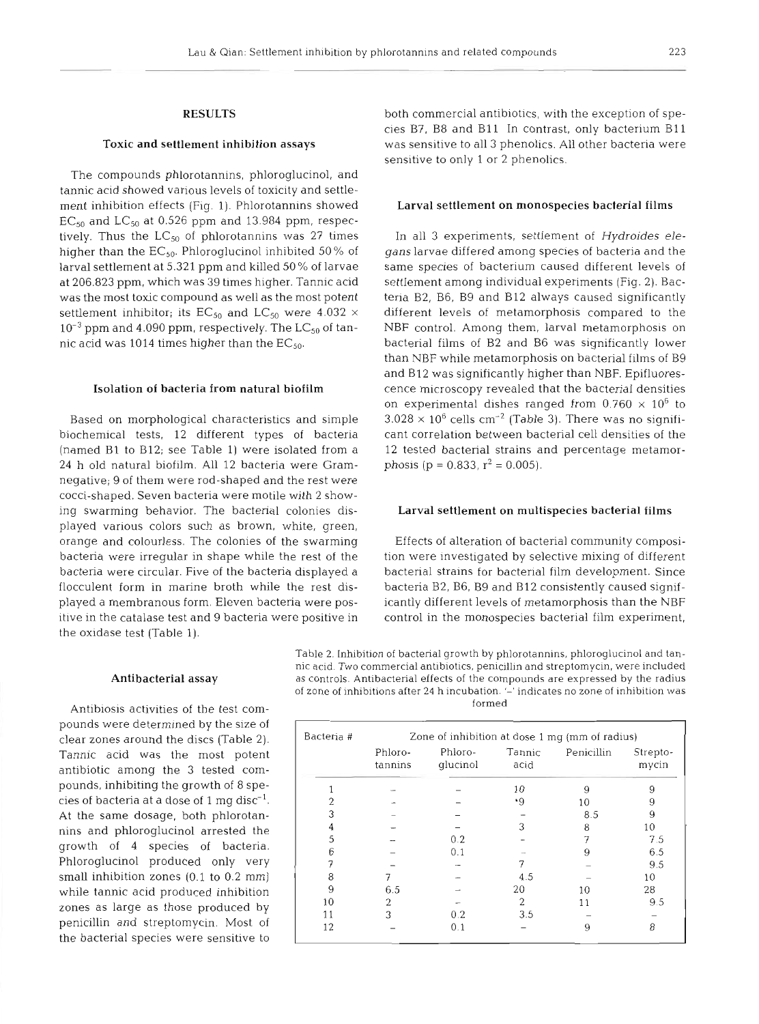## **RESULTS**

### Toxic and settlement inhibition assays

The compounds phlorotannins, phloroglucinol, and tannic acid showed various levels of toxicity and settlement inhibition effects (Fig. 1). Phlorotannins showed  $EC_{50}$  and  $LC_{50}$  at 0.526 ppm and 13.984 ppm, respectively. Thus the  $LC_{50}$  of phlorotannins was 27 times higher than the  $EC_{50}$ . Phloroglucinol inhibited 50% of larval settlement at 5.321 ppm and killed 50 % of larvae at 206.823 ppm, which was 39 times higher. Tannic acid was the most toxic compound as well as the most potent settlement inhibitor; its  $EC_{50}$  and  $LC_{50}$  were 4.032  $\times$  $10^{-3}$  ppm and 4.090 ppm, respectively. The LC<sub>50</sub> of tannic acid was 1014 times higher than the  $EC_{50}$ .

#### Isolation of bacteria from natural biofilm

Based on morphological characteristics and simple biochemical tests, 12 different types of bacteria (named B1 to B12; see Table 1) were isolated from a 24 h old natural biofilm. All 12 bacteria were Gramnegative; 9 of them were rod-shaped and the rest were cocci-shaped. Seven bacteria were motile with 2 showing swarming behavior. The bacterial colonies displayed various colors such as brown, white, green, orange and colourless. The colonies of the swarming bacteria were irregular in shape while the rest of the bacteria were circular. Five of the bacteria displayed a flocculent form in marine broth while the rest displayed a membranous form. Eleven bacteria were positive in the catalase test and 9 bacteria were positive in the oxidase test (Table 1).

both commercial antibiotics, with the exception of species B?, B8 and B11 In contrast, only bacterium B11 was sensitive to all 3 phenolics. All other bacteria were sensitive to only 1 or 2 phenolics.

# Larval settlement on monospecies bacterial films

In all **3** experiments, settlement of *Hydroides elegans* larvae differed among species of bacteria and the same species of bacterium caused different levels of settlement among individual experiments (Fig. 2). Bacteria B2, B6, B9 and B12 always caused significantly different levels of metamorphosis compared to the NBF control. Among them, larval metamorphosis on bacterial films of B2 and B6 was significantly lower than NBF while metamorphosis on bacterial films of B9 and B12 was significantly higher than NBF. Epifluorescence microscopy revealed that the bacterial densities on experimental dishes ranged from  $0.760 \times 10^6$  to  $3.028 \times 10^6$  cells cm<sup>-2</sup> (Table 3). There was no significant correlation between bacterial cell densities of the 12 tested bacterial strains and percentage metamorphosis (p = 0.833,  $r^2$  = 0.005).

#### Larval settlement on multispecies bacterial films

Effects of alteration of bacterial community composition were investigated by selective mixing of different bacterial strains for bacterial film development. Since bacteria B2, B6, B9 and B12 consistently caused significantly different levels of metamorphosis than the NBF control in the monospecies bacterial film experiment,

Table 2. Inhibition of bacterial growth by phlorotannins, phloroglucinol and tannic acid. Two commercial antibiotics, penicillin and streptomycin, were included as controls. Antibacterial effects of the compounds are expressed by the radius of zone of inhibitions after 24 h incubation. '-' indicates no zone of inhibition was formed

| Bacteria # | Zone of inhibition at dose 1 mg (mm of radius) |                     |                |            |                   |  |  |  |
|------------|------------------------------------------------|---------------------|----------------|------------|-------------------|--|--|--|
|            | Phloro-<br>tannins                             | Phloro-<br>glucinol | Tannic<br>acid | Penicillin | Strepto-<br>mycin |  |  |  |
|            |                                                |                     | 10             | 9          | 9                 |  |  |  |
|            |                                                |                     | $\cdot$ 9      | 10         | 9                 |  |  |  |
|            |                                                |                     |                | 8.5        | 9                 |  |  |  |
|            |                                                |                     |                | 8          | 10                |  |  |  |
| 5          |                                                | 0.2                 |                |            | 7.5               |  |  |  |
|            |                                                | 0.1                 |                | 9          | 6.5               |  |  |  |
|            |                                                |                     |                |            | 9.5               |  |  |  |
| 8          |                                                |                     | 4.5            |            | 10                |  |  |  |
| 9          | 6.5                                            |                     | 20             | 10         | 28                |  |  |  |
| 10         | 2                                              |                     | 2              | 11         | 9.5               |  |  |  |
| 11         | 3                                              | 0.2                 | 3.5            |            |                   |  |  |  |
| 12         |                                                | 0.1                 |                | 9          | 8                 |  |  |  |

#### Antibacterial assay

Antibiosis activities of the test compounds were determined by the size of clear zones around the discs (Table **2).**  Tannic acid was the most potent antibiotic among the 3 tested compounds, inhibiting the growth of 8 species of bacteria at a dose of 1 mg disc<sup>-1</sup>. At the same dosage, both phlorotannins and phloroglucinol arrested the growth of 4 species of bacteria. Phloroglucinol produced only very small inhibition zones (0.1 to 0.2 mm) while tannic acid produced inhibition zones as large as those produced by penicillin and streptomycin. Most of the bacterial species were sensitive to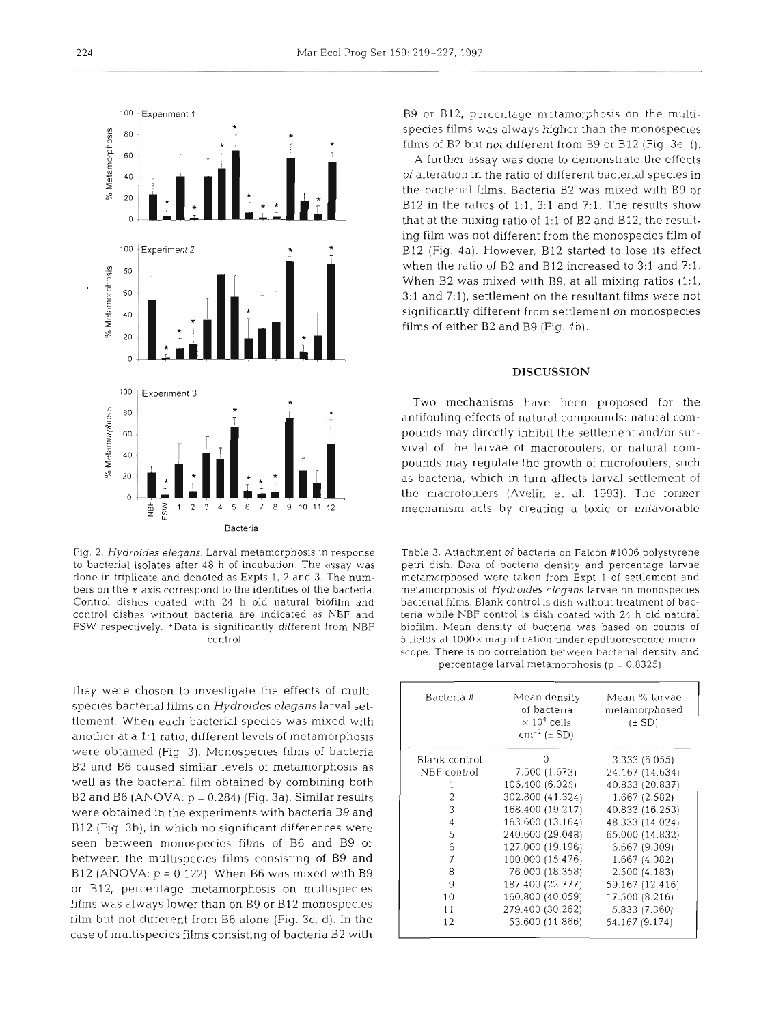

Fig. 2. Hydroides elegans. Larval metamorphosis in response to bacterial isolates after 48 h of incubation. The assay was done in triplicate and denoted as Expts 1, 2 and 3. The numbers on the x-axis correspond to the identities of the bacteria. Control dishes coated with 24 h old natural biofilm and control dishes without bacteria are indicated as NBF and FSW respectively. \*Data is significantly different from NBF control

they were chosen to investigate the effects of multispecies bacterial films on Hydroides elegans larval settlement. When each bacterial species was mixed with another at a 1:l ratio, different levels of metamorphosis were obtained (Fig **3).** Monospecies films of bacteria B2 and B6 caused similar levels of metamorphosis as well as the bacterial film obtained by combining both B2 and B6 (ANOVA:  $p = 0.284$ ) (Fig. 3a). Similar results were obtained in the experiments with bacteria B9 and B12 (Fig. 3b), in which no significant differences were seen between monospecies films of B6 and B9 or between the multispecies films consisting of B9 and B12 (ANOVA:  $p = 0.122$ ). When B6 was mixed with B9 or B12, percentage metamorphosis on multispecies films was always lower than on B9 or B12 monospecies film but not different from B6 alone (Fig. 3c, d). In the case of multispecies films consisting of bacteria B2 with

B9 or B12, percentage metamorphosis on the multispecies films was always higher than the monospecies films of B2 but not different from B9 or B12 (Fig. 3e, I).

A further assay was done to demonstrate the effects of alteration in the ratio of different bacterial species in the bacterial films. Bacteria B2 was mixed with B9 or B12 in the ratios of 1:1, 3:1 and 7:1. The results show that at the mixing ratio of 1:l of B2 and B12, the resulting film was not different from the monospecies film of B12 (Fig. 4a). However, B12 started to lose its effect when the ratio of B2 and B12 increased to 3:1 and 7:1. When B2 was mixed with B9, at all mixing ratios (1:1, 3:1 and **?:l),** settlement on the resultant films were not significantly different from settlement on monospecies films of either B2 and B9 (Fig. 4b).

# **DISCUSSION**

Two mechanisms have been proposed for the antifouling effects of natural compounds: natural compounds may directly inhibit the settlement and/or survival of the larvae of macrofoulers, or natural compounds may regulate the growth of microfoulers, such as bacteria, which in turn affects larval settlement of the macrofoulers (Avelin et al. 1993). The former mechanism acts by creating a toxic or unfavorable

Table 3. Attachment of bacteria on Falcon #l006 polystyrene petri dish. Data of bacteria density and percentage larvae metamorphosed were taken from Expt 1 of settlement and metamorphosis of Hydroides elegans larvae on monospecies bacterial films. Blank control is dish without treatment of bacteria while NBF control is dish coated with 24 h old natural biofilm. Mean density of bacteria was based on counts of 5 fields at lOOOx magnification under epifluorescence microscope. There is no correlation between bacterial density and percentage larval metamorphosis ( $p = 0.8325$ )

| Bacteria #     | Mean density<br>of bacteria<br>$\times$ 10 <sup>4</sup> cells<br>$cm^{-2}$ ( $\pm$ SD) | Mean % larvae<br>metamorphosed<br>$(\pm SD)$ |
|----------------|----------------------------------------------------------------------------------------|----------------------------------------------|
| Blank control  | 0                                                                                      | 3.333(6.055)                                 |
| NBF control    | 7.600(1.673)                                                                           | 24.167 (14.634)                              |
|                | 106.400 (6.025)                                                                        | 40.833 (20.837)                              |
| 2              | 302.800 (41.324)                                                                       | 1.667(2.582)                                 |
| 3              | 168.400 (19.217)                                                                       | 40.833 (16.253)                              |
| $\overline{4}$ | 163.600 (13.164)                                                                       | 48.333 (14.024)                              |
| 5              | 240.600 (29.048)                                                                       | 65.000 (14.832)                              |
| 6              | 127.000 (19.196)                                                                       | 6.667 (9.309)                                |
| 7              | 100.000 (15.476)                                                                       | 1.667 (4.082)                                |
| 8              | 76.000 (18.358)                                                                        | 2.500(4.183)                                 |
| 9              | 187.400 (22.777)                                                                       | 59.167 (12.416)                              |
| 10             | 160.800 (40.059)                                                                       | 17.500 (8.216)                               |
| 11             | 279.400 (30.262)                                                                       | 5.833 (7.360)                                |
| 12             | 53.600 (11.866)                                                                        | 54.167 (9.174)                               |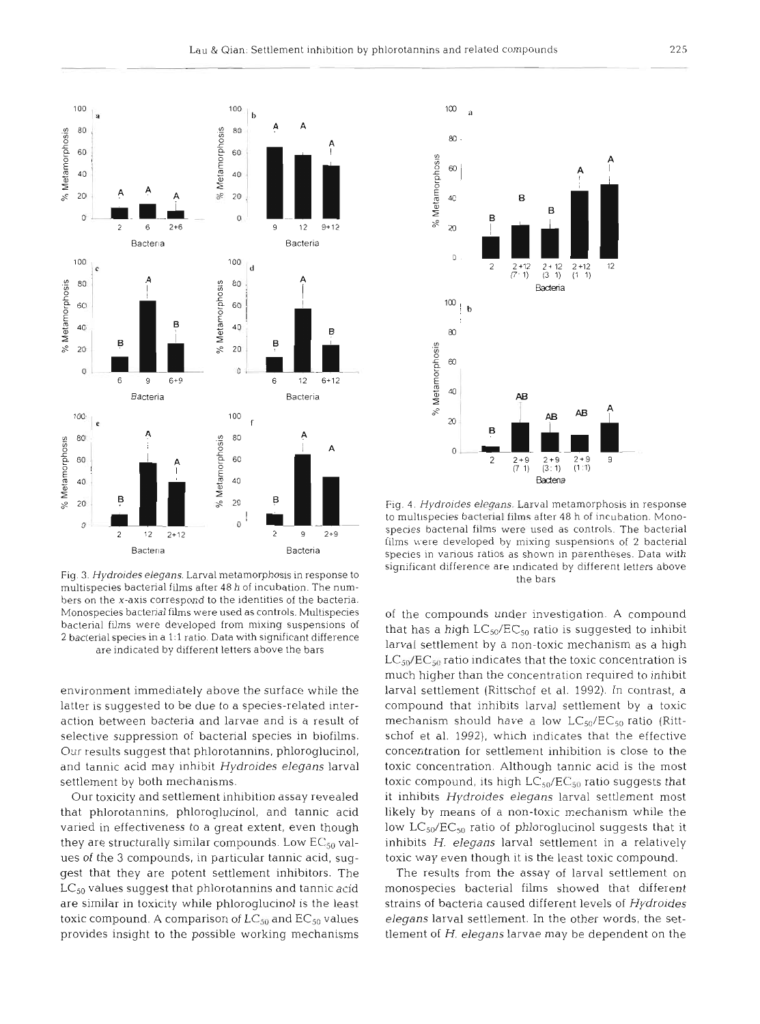

Fig. 3. Hydroides elegans. Larval metamorphosis in response to multispecies bacterial films after 48 h of incubation. The numbers on the x-axis correspond to the identities of the bacteria. Monospecies bacterial films were used as controls. Multispecies bacterial films were developed from mixing suspensions of 2 bacterial species in a 1:1 ratio. Data with significant difference are indicated by different letters above the bars

environment immediately above the surface while the latter is suggested to be due to a species-related interaction between bacteria and larvae and is a result of selective suppression of bacterial species in biofilms. Our results suggest that phlorotannins, phloroglucinol, and tannic acid may inhibit *Hydroides elegans* larval settlement by both mechanisms.

Our toxicity and settlement inhibition assay revealed that phlorotannins, phloroglucinol, and tannic acid varied in effectiveness to a great extent, even though they are structurally similar compounds. Low  $EG_{5\theta}$  values of the **3** compounds, in particular tannic acid, suggest that they are potent settlement inhibitors. The  $LC_{50}$  values suggest that phlorotannins and tannic acid are similar in toxicity while phloroglucinol is the least toxic compound. A comparison of  $LC_{50}$  and  $EC_{50}$  values provides insight to the possible working mechanisms



Fig. **4.** Hydroides elegans. Larval metamorphosis in response to multispecies bacterial films after 48 h of incubation. Monospecies bactenal films were used as controls. The bacterial films were developed by mixing suspensions of 2 bacterial species in various ratios as shown in parentheses. Data with significant difference are indicated by different letters above the bars

of the compounds under investigation. A compound that has a high  $LC_{50}/EC_{50}$  ratio is suggested to inhibit larval settlement by a non-toxic mechanism as a high  $LC_{50}/EC_{50}$  ratio indicates that the toxic concentration is much higher than the concentration required to inhibit larval settlement (Rittschof et al. 1992). In contrast, a compound that inhibits larval settlement by a toxic mechanism should have a low  $LC_{50}/EC_{50}$  ratio (Rittschof et al. 1992), which indicates that the effective concentration for settlement inhibition is close to the toxic concentration. Although tannic acid is the most toxic compound, its high  $LC_{50}/EC_{50}$  ratio suggests that it inhibits *Hydroides elegans* larval settlement most likely by means of a non-toxic mechanism while the low  $LC_{50}/EC_{50}$  ratio of phloroglucinol suggests that it inhibits *H. elegans* larval settlement in a relatively toxic way even though it is the least toxic compound.

The results from the assay of larval settlement on monospecies bacterial films showed that different strains of bacteria caused different levels of *Hydroides elegans* larval settlement. In the other words, the settlement of H. *elegans* larvae may be dependent on the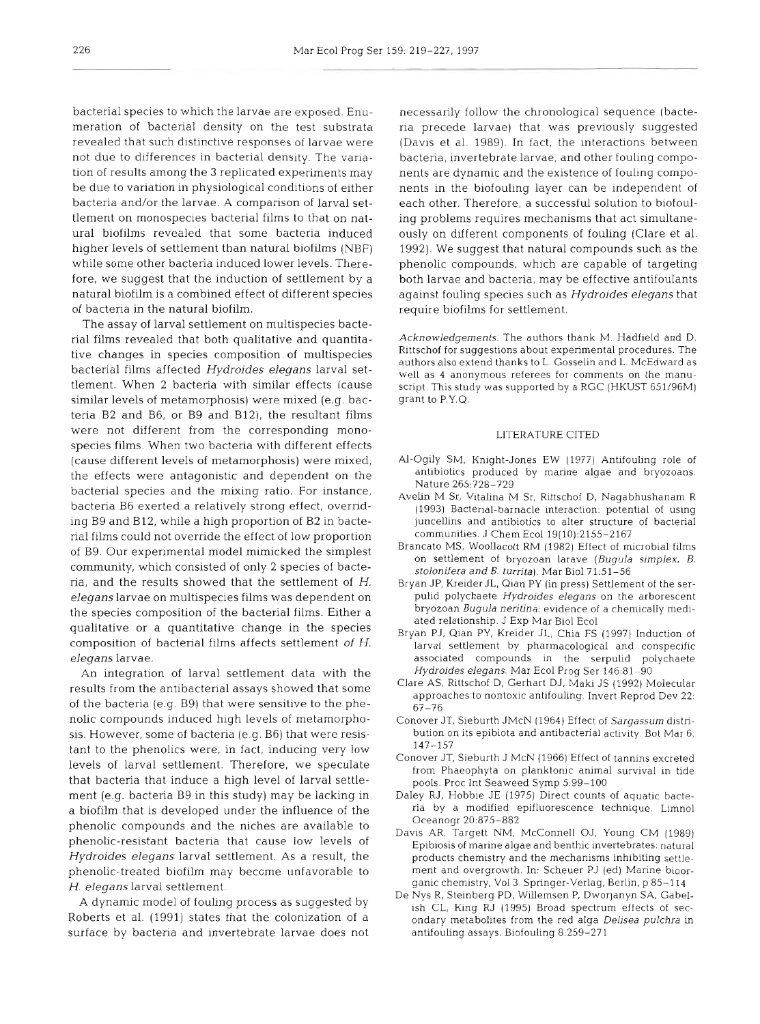bacterial species to which the larvae are exposed. Enumeration of bacterial density on the test substrata revealed that such distinctive responses of larvae were not due to differences in bacterial density. The variation of results among the 3 replicated experiments may be due to variation in physiological conditions of either bacteria and/or the larvae. A comparison of larval settlement on monospecies bacterial films to that on natural biofilms revealed that some bacteria induced higher levels of settlement than natural biofilms (NBF) while some other bacteria induced lower levels. Therefore, we suggest that the induction of settlement by a natural biofilm is a combined effect of different species of bacteria in the natural biofilm.

The assay of larval settlement on multispecies bacterial films revealed that both qualitative and quantitative changes in species composition of multispecies bacterial films affected *Hydroides elegans* larval settlement. When 2 bacteria with similar effects (cause similar levels of metamorphosis) were mixed (e.g. bacteria B2 and B6, or B9 and B12), the resultant films were not different from the corresponding monospecies films. When two bacteria with different effects (cause different levels of metamorphosis) were mixed, the effects were antagonistic and dependent on the bacterial species and the mixing ratio. For instance, bacteria B6 exerted a relatively strong effect, overriding B9 and B12, while a high proportion of B2 in bacterial films could not override the effect of low proportion of B9. Our experimental model mimicked the simplest community, which consisted of only 2 species of bacteria, and the results showed that the settlement of *H. elegans* larvae on multispecies films was dependent on the species composition of the bacterial films. Either a qualitative or a quantitative change in the species composition of bacterial films affects settlement *of* H. *elegans* larvae.

An integration of larval settlement data with the results from the antibacterial assays showed that some of the bacteria (e.g. B9) that were sensitive to the phenolic compounds induced high levels of metamorphosis. However, some of bacteria (e.g. B6) that were resistant to the phenolics were, in fact, inducing very low levels of larval settlement. Therefore, we speculate that bacteria that induce a high level of larval settlement (e.g. bacteria B9 in this study) may be lacking in a biofilm that is developed under the influence of the phenolic compounds and the niches are available to phenolic-resistant bacteria that cause low levels of *Hydroides elegans* larval settlement. As a result, the phenolic-treated biofilm may become unfavorable to *H. elegans* larval settlement.

*<sup>A</sup>*dynamic model of fouling process as suggested by Roberts et al. (1991) states that the colonization of a surface by bacteria and invertebrate larvae does not

necessarily follow the chronological sequence (bacteria precede larvae) that was previously suggested (Davis et al. 1989). In fact, the interactions between bacteria, invertebrate larvae, and other fouling components are dynamic and the existence of fouling components in the biofouling layer can be independent of each other. Therefore, a successful solution to biofouling problems requires mechanisms that act simultaneously on different components of fouling (Clare et al. 1992). We suggest that natural compounds such as the phenolic compounds, which are capable of targeting both larvae and bacteria, may be effective antifoulants against fouling species such as *Hydroides elegans* that require biofilms for settlement.

Acknowledgements. The authors thank M. Hadfield and D. Rittschof for suggestions about experimental procedures. The authors also extend thanks to L. Gosselin and L. McEdward as well as 4 anonymous referees for comments on the manuscript. This study was supported by a RGC (HKUST 651/96M] grant to P.Y.Q.

#### LITERATURE CITED

- AI-Ogily SM, Knight-Jones EW (1977) Antifouling role of antibiotics produced by marine algae and bryozoans. Nature 265:?28-729
- Avelin M Sr, Vitalina M Sr, Rittschof D, Nagabhushanam R (1993) Bacterial-barnacle interaction: potential of using juncellins and antibiotics to alter structure of bacterial communities. J Chem Ecol 19(10):2155-2167
- Brancato MS, Woollacott RM (1982) Effect of microbial films on settlement of bryozoan larave (Bugula simplex, B. stolonifera and B. turrita). Mar Biol 71:51-56
- Bryan JP, Kreider JL, Qian PY (in press) Settlement of the serpulid polychaete Hydroides elegans on the arborescent bryozoan Bugula neritina: evidence of a chemically mediated relationship. J Exp Mar Biol Ecol
- Bryan PJ. Qian PY. Kreider JL, Chia FS (1997) Induction of larval settlement by pharmacological and conspecific associated compounds in the serpulid polychaete Hydroides elegans. Mar Ecol Prog Ser 146:81-90
- Clare AS. Rittschof D, Gerhart DJ, Maki JS (1992) Molecular approaches to nontoxic antifouling. Invert Reprod Dev 22: 67-76
- Conover JT, Sieburth JMcN (1964) Effect of Sargassum distribution on its epibiota and antibacterial activity. Bot Mar 6: 147-157
- Conover JT, Sieburth J McN (1966) Effect of tannins excreted from Phaeophyta on planktonic animal survival in tide pools. Proc Int Seaweed Symp 5:99-100
- Daley RJ, Hobbie JE (1975) Direct counts of aquatic bacteria by a modified epifluorescence technique. Limnol Oceanogr 20:875-882
- Davis AR, Targett NM, McConnell OJ, Young CM (1989) Epibiosis of marine algae and benthic invertebrates: natural products chemistry and the mechanisms inhibiting settlement and overgrowth. In: Scheuer PJ (ed) Marine bioorganic chemistry, Vol **3.** Springer-Verlag, Berlin, p 85-114
- De Nys R, Steinberg PD, Willemsen P, Dworjanyn SA, Gabelish CL, King RJ (1995) Broad spectrum effects of secondary metabolites from the red alga Delisea pulchra in antifouling assays. Biofouling 8:259-271